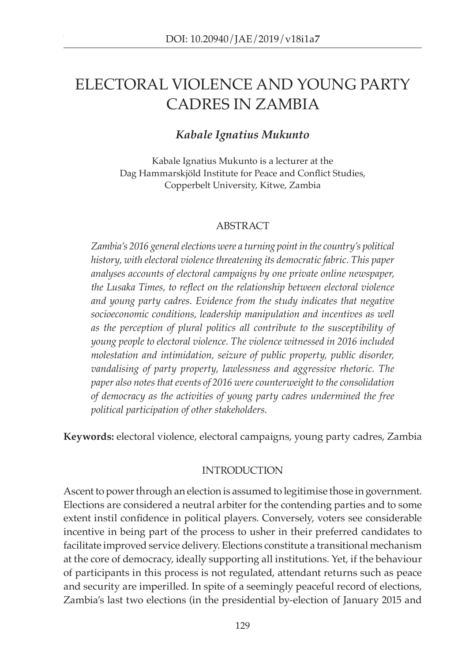# ELECTORAL VIOLENCE AND YOUNG PARTY CADRES IN ZAMBIA

# *Kabale Ignatius Mukunto*

Kabale Ignatius Mukunto is a lecturer at the Dag Hammarskjöld Institute for Peace and Conflict Studies, Copperbelt University, Kitwe, Zambia

# ABSTRACT

*Zambia's 2016 general elections were a turning point in the country's political history, with electoral violence threatening its democratic fabric. This paper analyses accounts of electoral campaigns by one private online newspaper, the Lusaka Times, to reflect on the relationship between electoral violence and young party cadres. Evidence from the study indicates that negative socioeconomic conditions, leadership manipulation and incentives as well as the perception of plural politics all contribute to the susceptibility of young people to electoral violence. The violence witnessed in 2016 included molestation and intimidation, seizure of public property, public disorder, vandalising of party property, lawlessness and aggressive rhetoric. The paper also notes that events of 2016 were counterweight to the consolidation of democracy as the activities of young party cadres undermined the free political participation of other stakeholders.* 

**Keywords:** electoral violence, electoral campaigns, young party cadres, Zambia

# INTRODUCTION

Ascent to power through an election is assumed to legitimise those in government. Elections are considered a neutral arbiter for the contending parties and to some extent instil confidence in political players. Conversely, voters see considerable incentive in being part of the process to usher in their preferred candidates to facilitate improved service delivery. Elections constitute a transitional mechanism at the core of democracy, ideally supporting all institutions. Yet, if the behaviour of participants in this process is not regulated, attendant returns such as peace and security are imperilled. In spite of a seemingly peaceful record of elections, Zambia's last two elections (in the presidential by-election of January 2015 and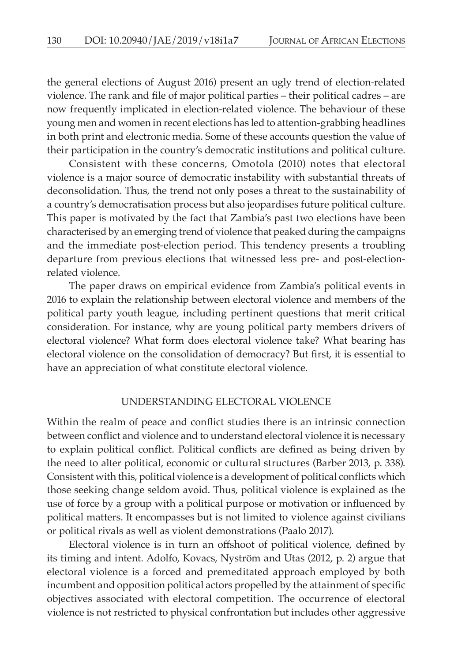the general elections of August 2016) present an ugly trend of election-related violence. The rank and file of major political parties – their political cadres – are now frequently implicated in election-related violence. The behaviour of these young men and women in recent elections has led to attention-grabbing headlines in both print and electronic media. Some of these accounts question the value of their participation in the country's democratic institutions and political culture.

Consistent with these concerns, Omotola (2010) notes that electoral violence is a major source of democratic instability with substantial threats of deconsolidation. Thus, the trend not only poses a threat to the sustainability of a country's democratisation process but also jeopardises future political culture. This paper is motivated by the fact that Zambia's past two elections have been characterised by an emerging trend of violence that peaked during the campaigns and the immediate post-election period. This tendency presents a troubling departure from previous elections that witnessed less pre- and post-electionrelated violence.

The paper draws on empirical evidence from Zambia's political events in 2016 to explain the relationship between electoral violence and members of the political party youth league, including pertinent questions that merit critical consideration. For instance, why are young political party members drivers of electoral violence? What form does electoral violence take? What bearing has electoral violence on the consolidation of democracy? But first, it is essential to have an appreciation of what constitute electoral violence.

#### UNDERSTANDING ELECTORAL VIOLENCE

Within the realm of peace and conflict studies there is an intrinsic connection between conflict and violence and to understand electoral violence it is necessary to explain political conflict. Political conflicts are defined as being driven by the need to alter political, economic or cultural structures (Barber 2013, p. 338). Consistent with this, political violence is a development of political conflicts which those seeking change seldom avoid. Thus, political violence is explained as the use of force by a group with a political purpose or motivation or influenced by political matters. It encompasses but is not limited to violence against civilians or political rivals as well as violent demonstrations (Paalo 2017).

Electoral violence is in turn an offshoot of political violence, defined by its timing and intent. Adolfo, Kovacs, Nyström and Utas (2012, p. 2) argue that electoral violence is a forced and premeditated approach employed by both incumbent and opposition political actors propelled by the attainment of specific objectives associated with electoral competition. The occurrence of electoral violence is not restricted to physical confrontation but includes other aggressive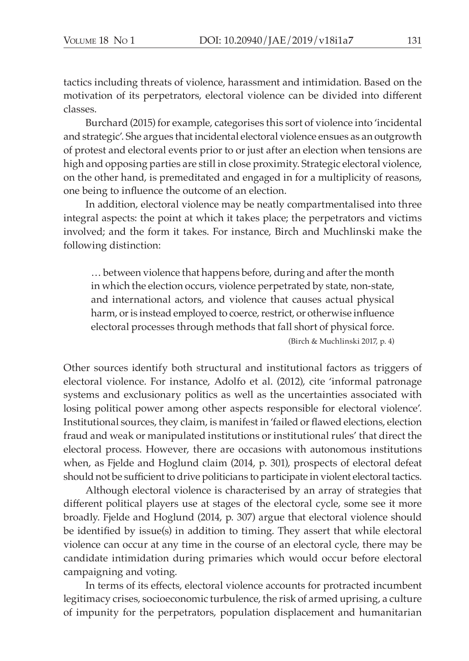tactics including threats of violence, harassment and intimidation. Based on the motivation of its perpetrators, electoral violence can be divided into different classes.

Burchard (2015) for example, categorises this sort of violence into 'incidental and strategic'. She argues that incidental electoral violence ensues as an outgrowth of protest and electoral events prior to or just after an election when tensions are high and opposing parties are still in close proximity. Strategic electoral violence, on the other hand, is premeditated and engaged in for a multiplicity of reasons, one being to influence the outcome of an election.

In addition, electoral violence may be neatly compartmentalised into three integral aspects: the point at which it takes place; the perpetrators and victims involved; and the form it takes. For instance, Birch and Muchlinski make the following distinction:

… between violence that happens before, during and after the month in which the election occurs, violence perpetrated by state, non-state, and international actors, and violence that causes actual physical harm, or is instead employed to coerce, restrict, or otherwise influence electoral processes through methods that fall short of physical force. (Birch & Muchlinski 2017, p. 4)

Other sources identify both structural and institutional factors as triggers of electoral violence. For instance, Adolfo et al. (2012), cite 'informal patronage systems and exclusionary politics as well as the uncertainties associated with losing political power among other aspects responsible for electoral violence'. Institutional sources, they claim, is manifest in 'failed or flawed elections, election fraud and weak or manipulated institutions or institutional rules' that direct the electoral process. However, there are occasions with autonomous institutions when, as Fjelde and Hoglund claim (2014, p. 301), prospects of electoral defeat should not be sufficient to drive politicians to participate in violent electoral tactics.

Although electoral violence is characterised by an array of strategies that different political players use at stages of the electoral cycle, some see it more broadly. Fjelde and Hoglund (2014, p. 307) argue that electoral violence should be identified by issue(s) in addition to timing. They assert that while electoral violence can occur at any time in the course of an electoral cycle, there may be candidate intimidation during primaries which would occur before electoral campaigning and voting.

In terms of its effects, electoral violence accounts for protracted incumbent legitimacy crises, socioeconomic turbulence, the risk of armed uprising, a culture of impunity for the perpetrators, population displacement and humanitarian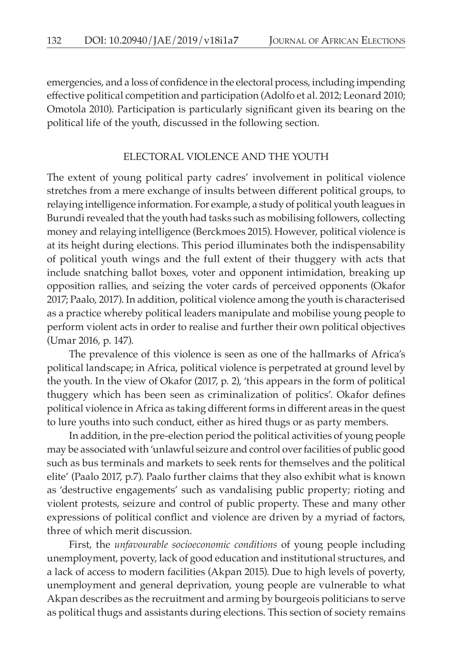emergencies, and a loss of confidence in the electoral process, including impending effective political competition and participation (Adolfo et al. 2012; Leonard 2010; Omotola 2010). Participation is particularly significant given its bearing on the political life of the youth, discussed in the following section.

#### ELECTORAL VIOLENCE AND THE YOUTH

The extent of young political party cadres' involvement in political violence stretches from a mere exchange of insults between different political groups, to relaying intelligence information. For example, a study of political youth leagues in Burundi revealed that the youth had tasks such as mobilising followers, collecting money and relaying intelligence (Berckmoes 2015). However, political violence is at its height during elections. This period illuminates both the indispensability of political youth wings and the full extent of their thuggery with acts that include snatching ballot boxes, voter and opponent intimidation, breaking up opposition rallies, and seizing the voter cards of perceived opponents (Okafor 2017; Paalo, 2017). In addition, political violence among the youth is characterised as a practice whereby political leaders manipulate and mobilise young people to perform violent acts in order to realise and further their own political objectives (Umar 2016, p. 147).

The prevalence of this violence is seen as one of the hallmarks of Africa's political landscape; in Africa, political violence is perpetrated at ground level by the youth. In the view of Okafor (2017, p. 2), 'this appears in the form of political thuggery which has been seen as criminalization of politics'. Okafor defines political violence in Africa as taking different forms in different areas in the quest to lure youths into such conduct, either as hired thugs or as party members.

In addition, in the pre-election period the political activities of young people may be associated with 'unlawful seizure and control over facilities of public good such as bus terminals and markets to seek rents for themselves and the political elite' (Paalo 2017, p.7). Paalo further claims that they also exhibit what is known as 'destructive engagements' such as vandalising public property; rioting and violent protests, seizure and control of public property. These and many other expressions of political conflict and violence are driven by a myriad of factors, three of which merit discussion.

First, the *unfavourable socioeconomic conditions* of young people including unemployment, poverty, lack of good education and institutional structures, and a lack of access to modern facilities (Akpan 2015). Due to high levels of poverty, unemployment and general deprivation, young people are vulnerable to what Akpan describes as the recruitment and arming by bourgeois politicians to serve as political thugs and assistants during elections. This section of society remains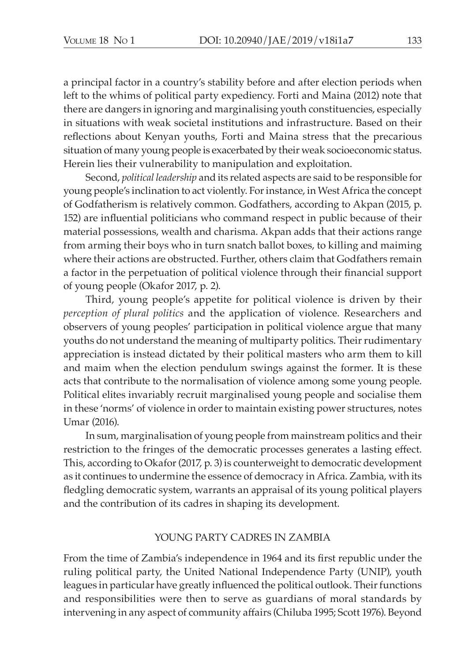a principal factor in a country's stability before and after election periods when left to the whims of political party expediency. Forti and Maina (2012) note that there are dangers in ignoring and marginalising youth constituencies, especially in situations with weak societal institutions and infrastructure. Based on their reflections about Kenyan youths, Forti and Maina stress that the precarious situation of many young people is exacerbated by their weak socioeconomic status. Herein lies their vulnerability to manipulation and exploitation.

Second, *political leadership* and its related aspects are said to be responsible for young people's inclination to act violently. For instance, in West Africa the concept of Godfatherism is relatively common. Godfathers, according to Akpan (2015, p. 152) are influential politicians who command respect in public because of their material possessions, wealth and charisma. Akpan adds that their actions range from arming their boys who in turn snatch ballot boxes, to killing and maiming where their actions are obstructed. Further, others claim that Godfathers remain a factor in the perpetuation of political violence through their financial support of young people (Okafor 2017, p. 2).

Third, young people's appetite for political violence is driven by their *perception of plural politics* and the application of violence. Researchers and observers of young peoples' participation in political violence argue that many youths do not understand the meaning of multiparty politics. Their rudimentary appreciation is instead dictated by their political masters who arm them to kill and maim when the election pendulum swings against the former. It is these acts that contribute to the normalisation of violence among some young people. Political elites invariably recruit marginalised young people and socialise them in these 'norms' of violence in order to maintain existing power structures, notes Umar (2016).

In sum, marginalisation of young people from mainstream politics and their restriction to the fringes of the democratic processes generates a lasting effect. This, according to Okafor (2017, p. 3) is counterweight to democratic development as it continues to undermine the essence of democracy in Africa. Zambia, with its fledgling democratic system, warrants an appraisal of its young political players and the contribution of its cadres in shaping its development.

## YOUNG PARTY CADRES IN ZAMBIA

From the time of Zambia's independence in 1964 and its first republic under the ruling political party, the United National Independence Party (UNIP), youth leagues in particular have greatly influenced the political outlook. Their functions and responsibilities were then to serve as guardians of moral standards by intervening in any aspect of community affairs (Chiluba 1995; Scott 1976). Beyond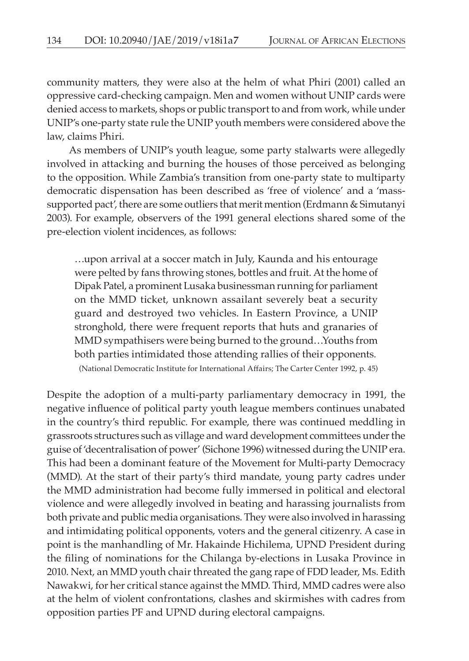community matters, they were also at the helm of what Phiri (2001) called an oppressive card-checking campaign. Men and women without UNIP cards were denied access to markets, shops or public transport to and from work, while under UNIP's one-party state rule the UNIP youth members were considered above the law, claims Phiri.

As members of UNIP's youth league, some party stalwarts were allegedly involved in attacking and burning the houses of those perceived as belonging to the opposition. While Zambia's transition from one-party state to multiparty democratic dispensation has been described as 'free of violence' and a 'masssupported pact', there are some outliers that merit mention (Erdmann & Simutanyi 2003). For example, observers of the 1991 general elections shared some of the pre-election violent incidences, as follows:

…upon arrival at a soccer match in July, Kaunda and his entourage were pelted by fans throwing stones, bottles and fruit. At the home of Dipak Patel, a prominent Lusaka businessman running for parliament on the MMD ticket, unknown assailant severely beat a security guard and destroyed two vehicles. In Eastern Province, a UNIP stronghold, there were frequent reports that huts and granaries of MMD sympathisers were being burned to the ground…Youths from both parties intimidated those attending rallies of their opponents. (National Democratic Institute for International Affairs; The Carter Center 1992, p. 45)

Despite the adoption of a multi-party parliamentary democracy in 1991, the negative influence of political party youth league members continues unabated in the country's third republic. For example, there was continued meddling in grassroots structures such as village and ward development committees under the guise of 'decentralisation of power' (Sichone 1996) witnessed during the UNIP era. This had been a dominant feature of the Movement for Multi-party Democracy (MMD). At the start of their party's third mandate, young party cadres under the MMD administration had become fully immersed in political and electoral violence and were allegedly involved in beating and harassing journalists from both private and public media organisations. They were also involved in harassing and intimidating political opponents, voters and the general citizenry. A case in point is the manhandling of Mr. Hakainde Hichilema, UPND President during the filing of nominations for the Chilanga by-elections in Lusaka Province in 2010. Next, an MMD youth chair threated the gang rape of FDD leader, Ms. Edith Nawakwi, for her critical stance against the MMD. Third, MMD cadres were also at the helm of violent confrontations, clashes and skirmishes with cadres from opposition parties PF and UPND during electoral campaigns.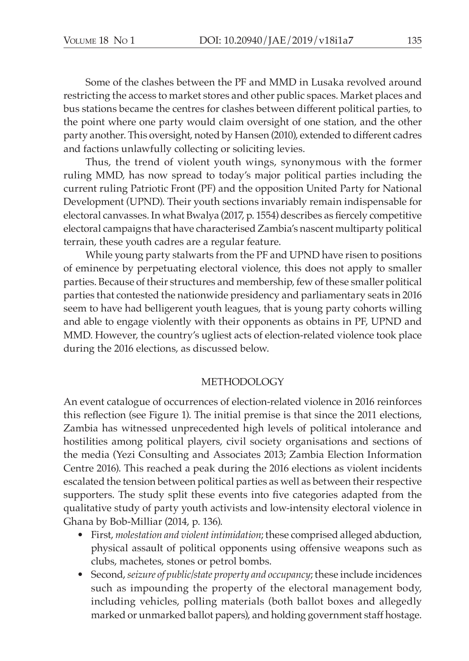Some of the clashes between the PF and MMD in Lusaka revolved around restricting the access to market stores and other public spaces. Market places and bus stations became the centres for clashes between different political parties, to the point where one party would claim oversight of one station, and the other party another. This oversight, noted by Hansen (2010), extended to different cadres and factions unlawfully collecting or soliciting levies.

Thus, the trend of violent youth wings, synonymous with the former ruling MMD, has now spread to today's major political parties including the current ruling Patriotic Front (PF) and the opposition United Party for National Development (UPND). Their youth sections invariably remain indispensable for electoral canvasses. In what Bwalya (2017, p. 1554) describes as fiercely competitive electoral campaigns that have characterised Zambia's nascent multiparty political terrain, these youth cadres are a regular feature.

While young party stalwarts from the PF and UPND have risen to positions of eminence by perpetuating electoral violence, this does not apply to smaller parties. Because of their structures and membership, few of these smaller political parties that contested the nationwide presidency and parliamentary seats in 2016 seem to have had belligerent youth leagues, that is young party cohorts willing and able to engage violently with their opponents as obtains in PF, UPND and MMD. However, the country's ugliest acts of election-related violence took place during the 2016 elections, as discussed below.

## METHODOLOGY

An event catalogue of occurrences of election-related violence in 2016 reinforces this reflection (see Figure 1). The initial premise is that since the 2011 elections, Zambia has witnessed unprecedented high levels of political intolerance and hostilities among political players, civil society organisations and sections of the media (Yezi Consulting and Associates 2013; Zambia Election Information Centre 2016). This reached a peak during the 2016 elections as violent incidents escalated the tension between political parties as well as between their respective supporters. The study split these events into five categories adapted from the qualitative study of party youth activists and low-intensity electoral violence in Ghana by Bob-Milliar (2014, p. 136).

- First, *molestation and violent intimidation*; these comprised alleged abduction, physical assault of political opponents using offensive weapons such as clubs, machetes, stones or petrol bombs.
- Second, *seizure of public/state property and occupancy*; these include incidences such as impounding the property of the electoral management body, including vehicles, polling materials (both ballot boxes and allegedly marked or unmarked ballot papers), and holding government staff hostage.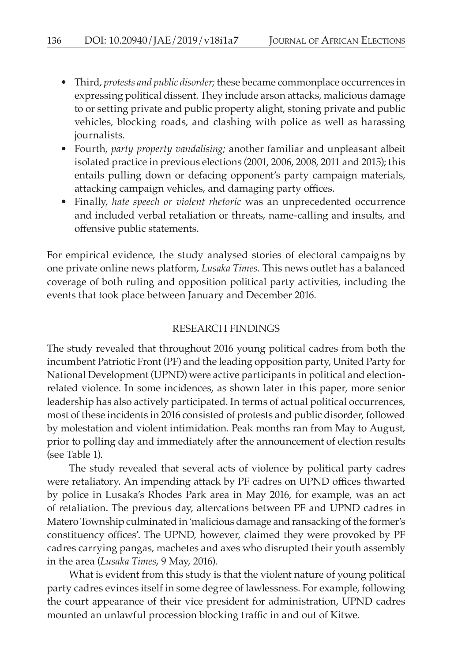- Third, *protests and public disorder;* these became commonplace occurrences in expressing political dissent. They include arson attacks, malicious damage to or setting private and public property alight, stoning private and public vehicles, blocking roads, and clashing with police as well as harassing journalists.
- Fourth, *party property vandalising;* another familiar and unpleasant albeit isolated practice in previous elections (2001, 2006, 2008, 2011 and 2015); this entails pulling down or defacing opponent's party campaign materials, attacking campaign vehicles, and damaging party offices.
- Finally, *hate speech or violent rhetoric* was an unprecedented occurrence and included verbal retaliation or threats, name-calling and insults, and offensive public statements.

For empirical evidence, the study analysed stories of electoral campaigns by one private online news platform, *Lusaka Times.* This news outlet has a balanced coverage of both ruling and opposition political party activities, including the events that took place between January and December 2016.

## RESEARCH FINDINGS

The study revealed that throughout 2016 young political cadres from both the incumbent Patriotic Front (PF) and the leading opposition party, United Party for National Development (UPND) were active participants in political and electionrelated violence. In some incidences, as shown later in this paper, more senior leadership has also actively participated. In terms of actual political occurrences, most of these incidents in 2016 consisted of protests and public disorder, followed by molestation and violent intimidation. Peak months ran from May to August, prior to polling day and immediately after the announcement of election results (see Table 1).

The study revealed that several acts of violence by political party cadres were retaliatory. An impending attack by PF cadres on UPND offices thwarted by police in Lusaka's Rhodes Park area in May 2016, for example, was an act of retaliation. The previous day, altercations between PF and UPND cadres in Matero Township culminated in 'malicious damage and ransacking of the former's constituency offices'. The UPND, however, claimed they were provoked by PF cadres carrying pangas, machetes and axes who disrupted their youth assembly in the area (*Lusaka Times*, 9 May, 2016).

What is evident from this study is that the violent nature of young political party cadres evinces itself in some degree of lawlessness. For example, following the court appearance of their vice president for administration, UPND cadres mounted an unlawful procession blocking traffic in and out of Kitwe.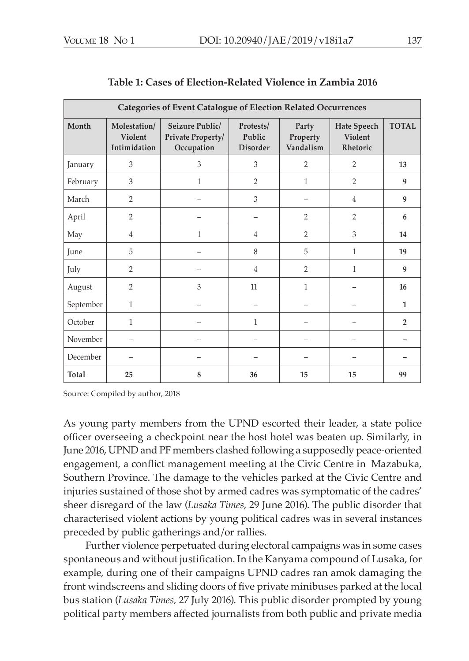| <b>Categories of Event Catalogue of Election Related Occurrences</b> |                                         |                                                    |                                        |                                |                                           |                |
|----------------------------------------------------------------------|-----------------------------------------|----------------------------------------------------|----------------------------------------|--------------------------------|-------------------------------------------|----------------|
| Month                                                                | Molestation/<br>Violent<br>Intimidation | Seizure Public/<br>Private Property/<br>Occupation | Protests/<br>Public<br><b>Disorder</b> | Party<br>Property<br>Vandalism | <b>Hate Speech</b><br>Violent<br>Rhetoric | <b>TOTAL</b>   |
| January                                                              | 3                                       | 3                                                  | 3                                      | $\overline{2}$                 | 2                                         | 13             |
| February                                                             | 3                                       | 1                                                  | $\overline{2}$                         | $\mathbf{1}$                   | $\overline{2}$                            | 9              |
| March                                                                | $\overline{2}$                          |                                                    | 3                                      |                                | $\overline{4}$                            | 9              |
| April                                                                | $\overline{2}$                          |                                                    |                                        | $\overline{2}$                 | 2                                         | 6              |
| May                                                                  | $\overline{4}$                          | 1                                                  | $\overline{4}$                         | $\overline{2}$                 | 3                                         | 14             |
| June                                                                 | 5                                       |                                                    | 8                                      | 5                              | 1                                         | 19             |
| July                                                                 | $\overline{2}$                          |                                                    | $\overline{4}$                         | $\overline{2}$                 | 1                                         | 9              |
| August                                                               | $\overline{2}$                          | 3                                                  | 11                                     | $\mathbf{1}$                   |                                           | 16             |
| September                                                            | $\mathbf{1}$                            |                                                    | $\overline{\phantom{0}}$               |                                |                                           | $\mathbf{1}$   |
| October                                                              | 1                                       |                                                    | $\mathbf{1}$                           |                                |                                           | $\overline{2}$ |
| November                                                             |                                         |                                                    |                                        |                                |                                           |                |
| December                                                             |                                         |                                                    |                                        |                                |                                           |                |
| Total                                                                | 25                                      | 8                                                  | 36                                     | 15                             | 15                                        | 99             |

Source: Compiled by author, 2018

As young party members from the UPND escorted their leader, a state police officer overseeing a checkpoint near the host hotel was beaten up. Similarly, in June 2016, UPND and PF members clashed following a supposedly peace-oriented engagement, a conflict management meeting at the Civic Centre in Mazabuka, Southern Province. The damage to the vehicles parked at the Civic Centre and injuries sustained of those shot by armed cadres was symptomatic of the cadres' sheer disregard of the law (*Lusaka Times,* 29 June 2016). The public disorder that characterised violent actions by young political cadres was in several instances preceded by public gatherings and/or rallies.

Further violence perpetuated during electoral campaigns was in some cases spontaneous and without justification. In the Kanyama compound of Lusaka, for example, during one of their campaigns UPND cadres ran amok damaging the front windscreens and sliding doors of five private minibuses parked at the local bus station (*Lusaka Times,* 27 July 2016). This public disorder prompted by young political party members affected journalists from both public and private media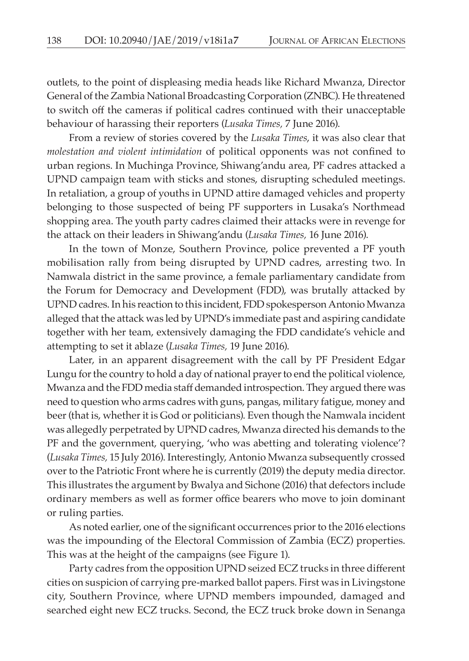outlets, to the point of displeasing media heads like Richard Mwanza, Director General of the Zambia National Broadcasting Corporation (ZNBC). He threatened to switch off the cameras if political cadres continued with their unacceptable behaviour of harassing their reporters (*Lusaka Times,* 7 June 2016).

From a review of stories covered by the *Lusaka Times*, it was also clear that *molestation and violent intimidation* of political opponents was not confined to urban regions. In Muchinga Province, Shiwang'andu area, PF cadres attacked a UPND campaign team with sticks and stones, disrupting scheduled meetings. In retaliation, a group of youths in UPND attire damaged vehicles and property belonging to those suspected of being PF supporters in Lusaka's Northmead shopping area. The youth party cadres claimed their attacks were in revenge for the attack on their leaders in Shiwang'andu (*Lusaka Times,* 16 June 2016).

In the town of Monze, Southern Province, police prevented a PF youth mobilisation rally from being disrupted by UPND cadres, arresting two. In Namwala district in the same province, a female parliamentary candidate from the Forum for Democracy and Development (FDD), was brutally attacked by UPND cadres. In his reaction to this incident, FDD spokesperson Antonio Mwanza alleged that the attack was led by UPND's immediate past and aspiring candidate together with her team, extensively damaging the FDD candidate's vehicle and attempting to set it ablaze (*Lusaka Times,* 19 June 2016).

Later, in an apparent disagreement with the call by PF President Edgar Lungu for the country to hold a day of national prayer to end the political violence, Mwanza and the FDD media staff demanded introspection. They argued there was need to question who arms cadres with guns, pangas, military fatigue, money and beer (that is, whether it is God or politicians). Even though the Namwala incident was allegedly perpetrated by UPND cadres, Mwanza directed his demands to the PF and the government, querying, 'who was abetting and tolerating violence'? (*Lusaka Times,* 15 July 2016). Interestingly, Antonio Mwanza subsequently crossed over to the Patriotic Front where he is currently (2019) the deputy media director. This illustrates the argument by Bwalya and Sichone (2016) that defectors include ordinary members as well as former office bearers who move to join dominant or ruling parties.

As noted earlier, one of the significant occurrences prior to the 2016 elections was the impounding of the Electoral Commission of Zambia (ECZ) properties. This was at the height of the campaigns (see Figure 1).

Party cadres from the opposition UPND seized ECZ trucks in three different cities on suspicion of carrying pre-marked ballot papers. First was in Livingstone city, Southern Province, where UPND members impounded, damaged and searched eight new ECZ trucks. Second, the ECZ truck broke down in Senanga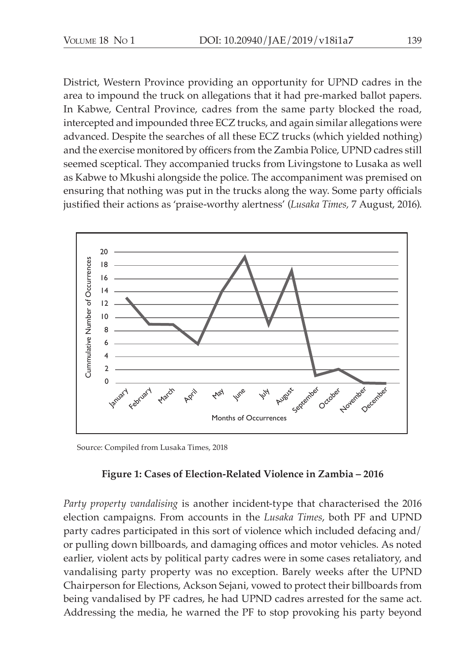District, Western Province providing an opportunity for UPND cadres in the area to impound the truck on allegations that it had pre-marked ballot papers. In Kabwe, Central Province, cadres from the same party blocked the road, intercepted and impounded three ECZ trucks, and again similar allegations were advanced. Despite the searches of all these ECZ trucks (which yielded nothing) and the exercise monitored by officers from the Zambia Police, UPND cadres still seemed sceptical. They accompanied trucks from Livingstone to Lusaka as well as Kabwe to Mkushi alongside the police. The accompaniment was premised on ensuring that nothing was put in the trucks along the way. Some party officials justified their actions as 'praise-worthy alertness' (*Lusaka Times,* 7 August, 2016).



Source: Compiled from Lusaka Times, 2018

# **Figure 1: Cases of Election-Related Violence in Zambia – 2016**

*Party property vandalising* is another incident-type that characterised the 2016 election campaigns. From accounts in the *Lusaka Times*, both PF and UPND party cadres participated in this sort of violence which included defacing and/ or pulling down billboards, and damaging offices and motor vehicles. As noted earlier, violent acts by political party cadres were in some cases retaliatory, and vandalising party property was no exception. Barely weeks after the UPND Chairperson for Elections, Ackson Sejani, vowed to protect their billboards from being vandalised by PF cadres, he had UPND cadres arrested for the same act. Addressing the media, he warned the PF to stop provoking his party beyond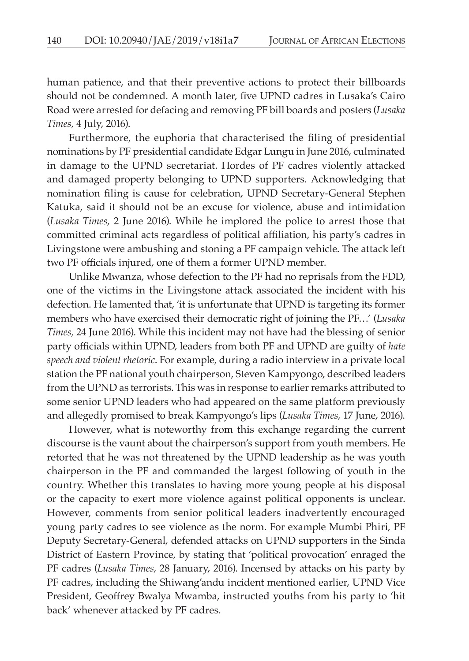human patience, and that their preventive actions to protect their billboards should not be condemned. A month later, five UPND cadres in Lusaka's Cairo Road were arrested for defacing and removing PF bill boards and posters (*Lusaka Times,* 4 July, 2016).

Furthermore, the euphoria that characterised the filing of presidential nominations by PF presidential candidate Edgar Lungu in June 2016, culminated in damage to the UPND secretariat. Hordes of PF cadres violently attacked and damaged property belonging to UPND supporters. Acknowledging that nomination filing is cause for celebration, UPND Secretary-General Stephen Katuka, said it should not be an excuse for violence, abuse and intimidation (*Lusaka Times,* 2 June 2016). While he implored the police to arrest those that committed criminal acts regardless of political affiliation, his party's cadres in Livingstone were ambushing and stoning a PF campaign vehicle. The attack left two PF officials injured, one of them a former UPND member.

Unlike Mwanza, whose defection to the PF had no reprisals from the FDD, one of the victims in the Livingstone attack associated the incident with his defection. He lamented that, 'it is unfortunate that UPND is targeting its former members who have exercised their democratic right of joining the PF…' (*Lusaka Times,* 24 June 2016). While this incident may not have had the blessing of senior party officials within UPND, leaders from both PF and UPND are guilty of *hate speech and violent rhetoric*. For example, during a radio interview in a private local station the PF national youth chairperson, Steven Kampyongo, described leaders from the UPND as terrorists. This was in response to earlier remarks attributed to some senior UPND leaders who had appeared on the same platform previously and allegedly promised to break Kampyongo's lips (*Lusaka Times,* 17 June, 2016).

However, what is noteworthy from this exchange regarding the current discourse is the vaunt about the chairperson's support from youth members. He retorted that he was not threatened by the UPND leadership as he was youth chairperson in the PF and commanded the largest following of youth in the country. Whether this translates to having more young people at his disposal or the capacity to exert more violence against political opponents is unclear. However, comments from senior political leaders inadvertently encouraged young party cadres to see violence as the norm. For example Mumbi Phiri, PF Deputy Secretary-General, defended attacks on UPND supporters in the Sinda District of Eastern Province, by stating that 'political provocation' enraged the PF cadres (*Lusaka Times,* 28 January, 2016). Incensed by attacks on his party by PF cadres, including the Shiwang'andu incident mentioned earlier, UPND Vice President, Geoffrey Bwalya Mwamba, instructed youths from his party to 'hit back' whenever attacked by PF cadres.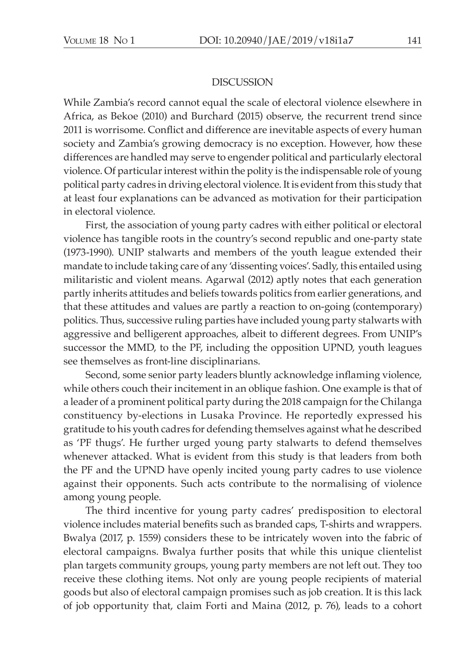#### **DISCUSSION**

While Zambia's record cannot equal the scale of electoral violence elsewhere in Africa, as Bekoe (2010) and Burchard (2015) observe, the recurrent trend since 2011 is worrisome. Conflict and difference are inevitable aspects of every human society and Zambia's growing democracy is no exception. However, how these differences are handled may serve to engender political and particularly electoral violence. Of particular interest within the polity is the indispensable role of young political party cadres in driving electoral violence. It is evident from this study that at least four explanations can be advanced as motivation for their participation in electoral violence.

First, the association of young party cadres with either political or electoral violence has tangible roots in the country's second republic and one-party state (1973-1990). UNIP stalwarts and members of the youth league extended their mandate to include taking care of any 'dissenting voices'. Sadly, this entailed using militaristic and violent means. Agarwal (2012) aptly notes that each generation partly inherits attitudes and beliefs towards politics from earlier generations, and that these attitudes and values are partly a reaction to on-going (contemporary) politics. Thus, successive ruling parties have included young party stalwarts with aggressive and belligerent approaches, albeit to different degrees. From UNIP's successor the MMD, to the PF, including the opposition UPND, youth leagues see themselves as front-line disciplinarians.

Second, some senior party leaders bluntly acknowledge inflaming violence, while others couch their incitement in an oblique fashion. One example is that of a leader of a prominent political party during the 2018 campaign for the Chilanga constituency by-elections in Lusaka Province. He reportedly expressed his gratitude to his youth cadres for defending themselves against what he described as 'PF thugs'. He further urged young party stalwarts to defend themselves whenever attacked. What is evident from this study is that leaders from both the PF and the UPND have openly incited young party cadres to use violence against their opponents. Such acts contribute to the normalising of violence among young people.

The third incentive for young party cadres' predisposition to electoral violence includes material benefits such as branded caps, T-shirts and wrappers. Bwalya (2017, p. 1559) considers these to be intricately woven into the fabric of electoral campaigns. Bwalya further posits that while this unique clientelist plan targets community groups, young party members are not left out. They too receive these clothing items. Not only are young people recipients of material goods but also of electoral campaign promises such as job creation. It is this lack of job opportunity that, claim Forti and Maina (2012, p. 76), leads to a cohort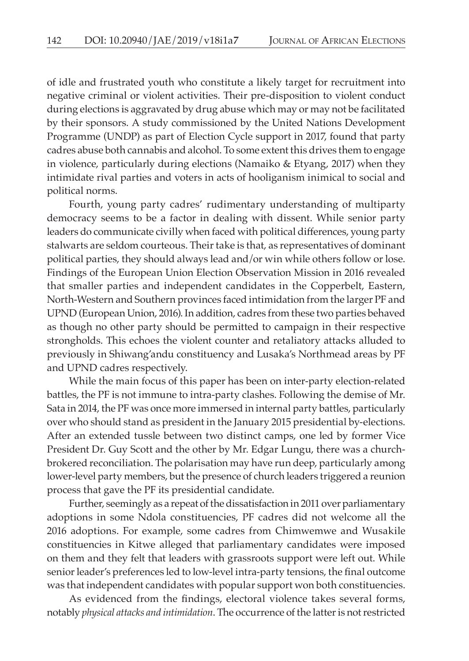of idle and frustrated youth who constitute a likely target for recruitment into negative criminal or violent activities. Their pre-disposition to violent conduct during elections is aggravated by drug abuse which may or may not be facilitated by their sponsors. A study commissioned by the United Nations Development Programme (UNDP) as part of Election Cycle support in 2017, found that party cadres abuse both cannabis and alcohol. To some extent this drives them to engage in violence, particularly during elections (Namaiko & Etyang, 2017) when they intimidate rival parties and voters in acts of hooliganism inimical to social and political norms.

Fourth, young party cadres' rudimentary understanding of multiparty democracy seems to be a factor in dealing with dissent. While senior party leaders do communicate civilly when faced with political differences, young party stalwarts are seldom courteous. Their take is that, as representatives of dominant political parties, they should always lead and/or win while others follow or lose. Findings of the European Union Election Observation Mission in 2016 revealed that smaller parties and independent candidates in the Copperbelt, Eastern, North-Western and Southern provinces faced intimidation from the larger PF and UPND (European Union, 2016). In addition, cadres from these two parties behaved as though no other party should be permitted to campaign in their respective strongholds. This echoes the violent counter and retaliatory attacks alluded to previously in Shiwang'andu constituency and Lusaka's Northmead areas by PF and UPND cadres respectively.

While the main focus of this paper has been on inter-party election-related battles, the PF is not immune to intra-party clashes. Following the demise of Mr. Sata in 2014, the PF was once more immersed in internal party battles, particularly over who should stand as president in the January 2015 presidential by-elections. After an extended tussle between two distinct camps, one led by former Vice President Dr. Guy Scott and the other by Mr. Edgar Lungu, there was a churchbrokered reconciliation. The polarisation may have run deep, particularly among lower-level party members, but the presence of church leaders triggered a reunion process that gave the PF its presidential candidate.

Further, seemingly as a repeat of the dissatisfaction in 2011 over parliamentary adoptions in some Ndola constituencies, PF cadres did not welcome all the 2016 adoptions. For example, some cadres from Chimwemwe and Wusakile constituencies in Kitwe alleged that parliamentary candidates were imposed on them and they felt that leaders with grassroots support were left out. While senior leader's preferences led to low-level intra-party tensions, the final outcome was that independent candidates with popular support won both constituencies.

As evidenced from the findings, electoral violence takes several forms, notably *physical attacks and intimidation*. The occurrence of the latter is not restricted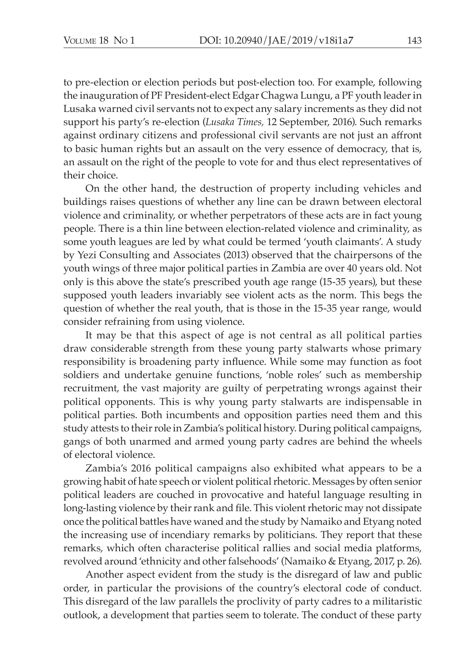to pre-election or election periods but post-election too. For example, following the inauguration of PF President-elect Edgar Chagwa Lungu, a PF youth leader in Lusaka warned civil servants not to expect any salary increments as they did not support his party's re-election (*Lusaka Times,* 12 September, 2016). Such remarks against ordinary citizens and professional civil servants are not just an affront to basic human rights but an assault on the very essence of democracy, that is, an assault on the right of the people to vote for and thus elect representatives of their choice.

On the other hand, the destruction of property including vehicles and buildings raises questions of whether any line can be drawn between electoral violence and criminality, or whether perpetrators of these acts are in fact young people. There is a thin line between election-related violence and criminality, as some youth leagues are led by what could be termed 'youth claimants'. A study by Yezi Consulting and Associates (2013) observed that the chairpersons of the youth wings of three major political parties in Zambia are over 40 years old. Not only is this above the state's prescribed youth age range (15-35 years), but these supposed youth leaders invariably see violent acts as the norm. This begs the question of whether the real youth, that is those in the 15-35 year range, would consider refraining from using violence.

It may be that this aspect of age is not central as all political parties draw considerable strength from these young party stalwarts whose primary responsibility is broadening party influence. While some may function as foot soldiers and undertake genuine functions, 'noble roles' such as membership recruitment, the vast majority are guilty of perpetrating wrongs against their political opponents. This is why young party stalwarts are indispensable in political parties. Both incumbents and opposition parties need them and this study attests to their role in Zambia's political history. During political campaigns, gangs of both unarmed and armed young party cadres are behind the wheels of electoral violence.

Zambia's 2016 political campaigns also exhibited what appears to be a growing habit of hate speech or violent political rhetoric. Messages by often senior political leaders are couched in provocative and hateful language resulting in long-lasting violence by their rank and file. This violent rhetoric may not dissipate once the political battles have waned and the study by Namaiko and Etyang noted the increasing use of incendiary remarks by politicians. They report that these remarks, which often characterise political rallies and social media platforms, revolved around 'ethnicity and other falsehoods' (Namaiko & Etyang, 2017, p. 26).

Another aspect evident from the study is the disregard of law and public order, in particular the provisions of the country's electoral code of conduct. This disregard of the law parallels the proclivity of party cadres to a militaristic outlook, a development that parties seem to tolerate. The conduct of these party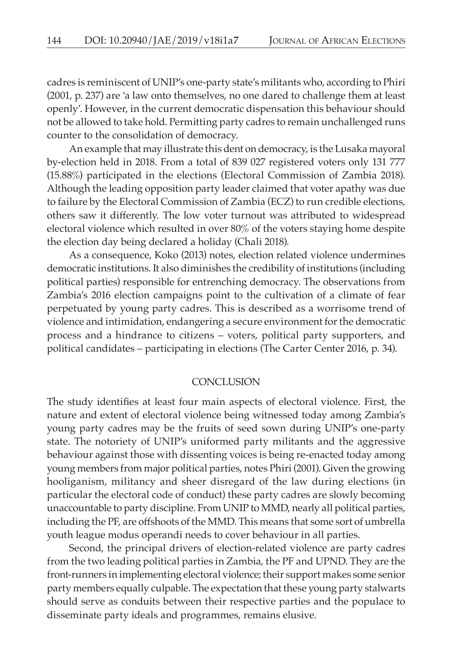cadres is reminiscent of UNIP's one-party state's militants who, according to Phiri (2001, p. 237) are 'a law onto themselves, no one dared to challenge them at least openly'. However, in the current democratic dispensation this behaviour should not be allowed to take hold. Permitting party cadres to remain unchallenged runs counter to the consolidation of democracy.

An example that may illustrate this dent on democracy, is the Lusaka mayoral by-election held in 2018. From a total of 839 027 registered voters only 131 777 (15.88%) participated in the elections (Electoral Commission of Zambia 2018). Although the leading opposition party leader claimed that voter apathy was due to failure by the Electoral Commission of Zambia (ECZ) to run credible elections, others saw it differently. The low voter turnout was attributed to widespread electoral violence which resulted in over 80% of the voters staying home despite the election day being declared a holiday (Chali 2018).

As a consequence, Koko (2013) notes, election related violence undermines democratic institutions. It also diminishes the credibility of institutions (including political parties) responsible for entrenching democracy. The observations from Zambia's 2016 election campaigns point to the cultivation of a climate of fear perpetuated by young party cadres. This is described as a worrisome trend of violence and intimidation, endangering a secure environment for the democratic process and a hindrance to citizens – voters, political party supporters, and political candidates – participating in elections (The Carter Center 2016, p. 34).

#### **CONCLUSION**

The study identifies at least four main aspects of electoral violence. First, the nature and extent of electoral violence being witnessed today among Zambia's young party cadres may be the fruits of seed sown during UNIP's one-party state. The notoriety of UNIP's uniformed party militants and the aggressive behaviour against those with dissenting voices is being re-enacted today among young members from major political parties, notes Phiri (2001). Given the growing hooliganism, militancy and sheer disregard of the law during elections (in particular the electoral code of conduct) these party cadres are slowly becoming unaccountable to party discipline. From UNIP to MMD, nearly all political parties, including the PF, are offshoots of the MMD. This means that some sort of umbrella youth league modus operandi needs to cover behaviour in all parties.

Second, the principal drivers of election-related violence are party cadres from the two leading political parties in Zambia, the PF and UPND. They are the front-runners in implementing electoral violence; their support makes some senior party members equally culpable. The expectation that these young party stalwarts should serve as conduits between their respective parties and the populace to disseminate party ideals and programmes, remains elusive.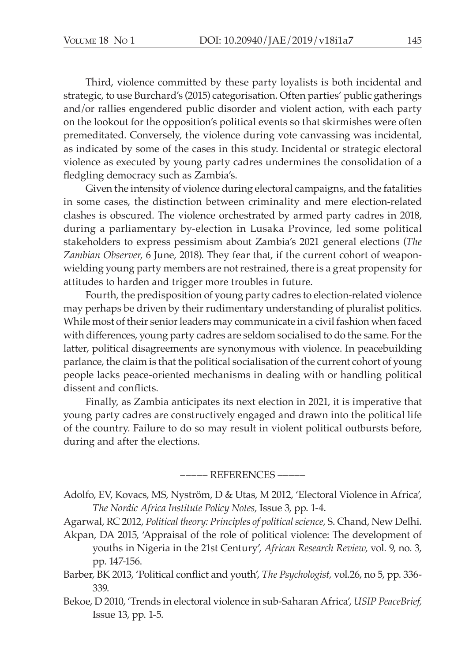Third, violence committed by these party loyalists is both incidental and strategic, to use Burchard's (2015) categorisation. Often parties' public gatherings and/or rallies engendered public disorder and violent action, with each party on the lookout for the opposition's political events so that skirmishes were often premeditated. Conversely, the violence during vote canvassing was incidental, as indicated by some of the cases in this study. Incidental or strategic electoral violence as executed by young party cadres undermines the consolidation of a fledgling democracy such as Zambia's.

Given the intensity of violence during electoral campaigns, and the fatalities in some cases, the distinction between criminality and mere election-related clashes is obscured. The violence orchestrated by armed party cadres in 2018, during a parliamentary by-election in Lusaka Province, led some political stakeholders to express pessimism about Zambia's 2021 general elections (*The Zambian Observer,* 6 June, 2018). They fear that, if the current cohort of weaponwielding young party members are not restrained, there is a great propensity for attitudes to harden and trigger more troubles in future.

Fourth, the predisposition of young party cadres to election-related violence may perhaps be driven by their rudimentary understanding of pluralist politics. While most of their senior leaders may communicate in a civil fashion when faced with differences, young party cadres are seldom socialised to do the same. For the latter, political disagreements are synonymous with violence. In peacebuilding parlance, the claim is that the political socialisation of the current cohort of young people lacks peace-oriented mechanisms in dealing with or handling political dissent and conflicts.

Finally, as Zambia anticipates its next election in 2021, it is imperative that young party cadres are constructively engaged and drawn into the political life of the country. Failure to do so may result in violent political outbursts before, during and after the elections.

#### ––––– References –––––

Adolfo, EV, Kovacs, MS, Nyström, D & Utas, M 2012, 'Electoral Violence in Africa', *The Nordic Africa Institute Policy Notes,* Issue 3, pp. 1-4.

Agarwal, RC 2012, *Political theory: Principles of political science,* S. Chand, New Delhi. Akpan, DA 2015, 'Appraisal of the role of political violence: The development of

- youths in Nigeria in the 21st Century', *African Research Review,* vol. 9, no. 3, pp. 147-156.
- Barber, BK 2013, 'Political conflict and youth', *The Psychologist,* vol.26, no 5, pp. 336- 339.
- Bekoe, D 2010, 'Trends in electoral violence in sub-Saharan Africa', *USIP PeaceBrief,*  Issue 13, pp. 1-5.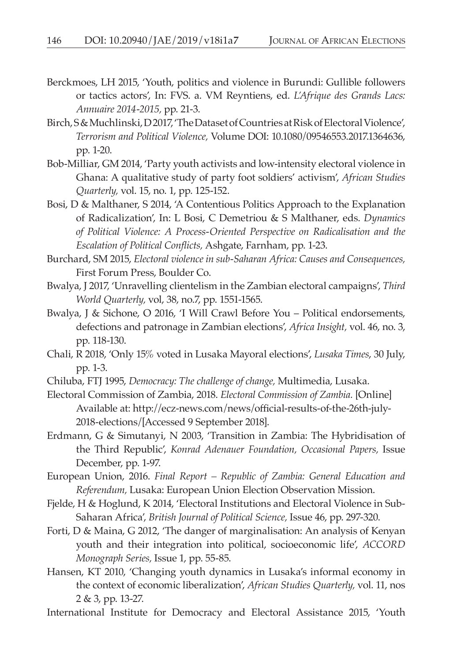- Berckmoes, LH 2015, 'Youth, politics and violence in Burundi: Gullible followers or tactics actors', In: FVS. a. VM Reyntiens, ed. *L'Afrique des Grands Lacs: Annuaire 2014-2015,* pp. 21*-*3.
- Birch, S & Muchlinski, D 2017, 'The Dataset of Countries at Risk of Electoral Violence', *Terrorism and Political Violence,* Volume DOI: 10.1080/09546553.2017.1364636, pp. 1-20.
- Bob-Milliar, GM 2014, 'Party youth activists and low-intensity electoral violence in Ghana: A qualitative study of party foot soldiers' activism', *African Studies Quarterly,* vol. 15, no. 1, pp. 125-152.
- Bosi, D & Malthaner, S 2014, 'A Contentious Politics Approach to the Explanation of Radicalization', In: L Bosi, C Demetriou & S Malthaner, eds. *Dynamics of Political Violence: A Process-Oriented Perspective on Radicalisation and the Escalation of Political Conflicts,* Ashgate, Farnham, pp. 1-23.
- Burchard, SM 2015, *Electoral violence in sub-Saharan Africa: Causes and Consequences,* First Forum Press, Boulder Co.
- Bwalya, J 2017, 'Unravelling clientelism in the Zambian electoral campaigns', *Third World Quarterly,* vol, 38, no.7, pp. 1551-1565.
- Bwalya, J & Sichone, O 2016, 'I Will Crawl Before You Political endorsements, defections and patronage in Zambian elections', *Africa Insight,* vol. 46, no. 3, pp. 118-130.
- Chali, R 2018, 'Only 15% voted in Lusaka Mayoral elections', *Lusaka Times*, 30 July, pp. 1-3.
- Chiluba, FTJ 1995, *Democracy: The challenge of change,* Multimedia, Lusaka.
- Electoral Commission of Zambia, 2018. *Electoral Commission of Zambia.* [Online] Available at: http://ecz-news.com/news/official-results-of-the-26th-july-2018-elections/[Accessed 9 September 2018].
- Erdmann, G & Simutanyi, N 2003, 'Transition in Zambia: The Hybridisation of the Third Republic', *Konrad Adenauer Foundation, Occasional Papers,* Issue December, pp. 1-97.
- European Union, 2016. *Final Report Republic of Zambia: General Education and Referendum,* Lusaka: European Union Election Observation Mission.
- Fjelde, H & Hoglund, K 2014, 'Electoral Institutions and Electoral Violence in Sub-Saharan Africa', *British Journal of Political Science,* Issue 46, pp. 297-320.
- Forti, D & Maina, G 2012, 'The danger of marginalisation: An analysis of Kenyan youth and their integration into political, socioeconomic life', *ACCORD Monograph Series,* Issue 1, pp. 55-85.
- Hansen, KT 2010, 'Changing youth dynamics in Lusaka's informal economy in the context of economic liberalization', *African Studies Quarterly,* vol. 11, nos 2 & 3, pp. 13-27.
- International Institute for Democracy and Electoral Assistance 2015, 'Youth